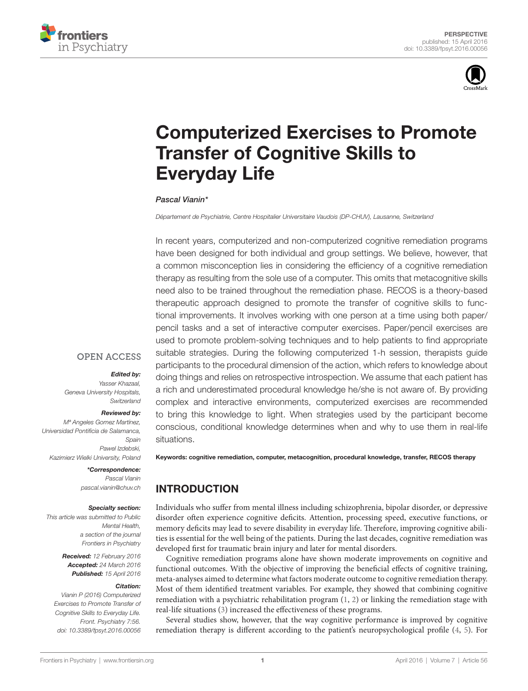



# **Computerized Exercises to Promote Transfer of Cognitive Skills to Everyday Life**

#### *[Pascal Vianin](http://loop.frontiersin.org/people/228177/overview)\**

*Département de Psychiatrie, Centre Hospitalier Universitaire Vaudois (DP-CHUV), Lausanne, Switzerland*

In recent years, computerized and non-computerized cognitive remediation programs have been designed for both individual and group settings. We believe, however, that a common misconception lies in considering the efficiency of a cognitive remediation therapy as resulting from the sole use of a computer. This omits that metacognitive skills need also to be trained throughout the remediation phase. RECOS is a theory-based therapeutic approach designed to promote the transfer of cognitive skills to functional improvements. It involves working with one person at a time using both paper/ pencil tasks and a set of interactive computer exercises. Paper/pencil exercises are used to promote problem-solving techniques and to help patients to find appropriate suitable strategies. During the following computerized 1-h session, therapists guide participants to the procedural dimension of the action, which refers to knowledge about doing things and relies on retrospective introspection. We assume that each patient has a rich and underestimated procedural knowledge he/she is not aware of. By providing complex and interactive environments, computerized exercises are recommended to bring this knowledge to light. When strategies used by the participant become conscious, conditional knowledge determines when and why to use them in real-life situations.

### **OPEN ACCESS**

#### *Edited by:*

*Yasser Khazaal, Geneva University Hospitals, Switzerland*

#### *Reviewed by:*

*Mª Angeles Gomez Martínez, Universidad Pontificia de Salamanca, Spain Pawel Izdebski, Kazimierz Wielki University, Poland*

#### *\*Correspondence:*

*Pascal Vianin [pascal.vianin@chuv.ch](mailto:pascal.vianin@chuv.ch)*

#### *Specialty section:*

*This article was submitted to Public Mental Health, a section of the journal Frontiers in Psychiatry*

> *Received: 12 February 2016 Accepted: 24 March 2016 Published: 15 April 2016*

#### *Citation:*

*Vianin P (2016) Computerized Exercises to Promote Transfer of Cognitive Skills to Everyday Life. Front. Psychiatry 7:56. doi: [10.3389/fpsyt.2016.00056](http://dx.doi.org/10.3389/fpsyt.2016.00056)*

Keywords: cognitive remediation, computer, metacognition, procedural knowledge, transfer, RECOS therapy

## INTRODUCTION

Individuals who suffer from mental illness including schizophrenia, bipolar disorder, or depressive disorder often experience cognitive deficits. Attention, processing speed, executive functions, or memory deficits may lead to severe disability in everyday life. Therefore, improving cognitive abilities is essential for the well being of the patients. During the last decades, cognitive remediation was developed first for traumatic brain injury and later for mental disorders.

Cognitive remediation programs alone have shown moderate improvements on cognitive and functional outcomes. With the objective of improving the beneficial effects of cognitive training, meta-analyses aimed to determine what factors moderate outcome to cognitive remediation therapy. Most of them identified treatment variables. For example, they showed that combining cognitive remediation with a psychiatric rehabilitation program ([1](#page-3-0), [2](#page-3-1)) or linking the remediation stage with real-life situations [\(3\)](#page-3-2) increased the effectiveness of these programs.

Several studies show, however, that the way cognitive performance is improved by cognitive remediation therapy is different according to the patient's neuropsychological profile [\(4,](#page-3-3) [5\)](#page-3-4). For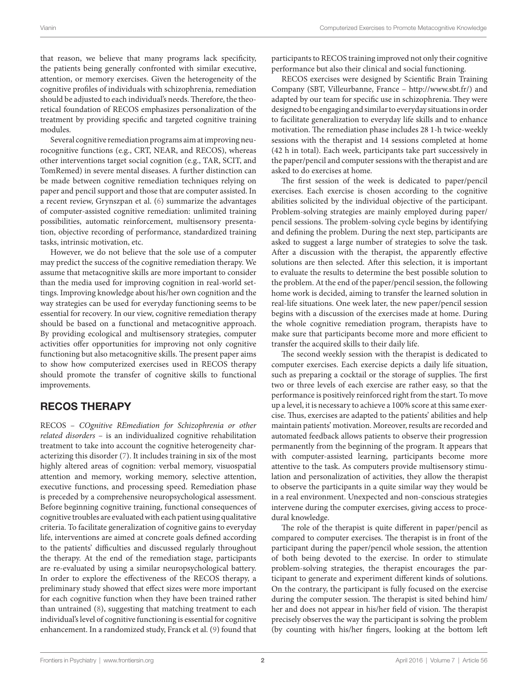that reason, we believe that many programs lack specificity, the patients being generally confronted with similar executive, attention, or memory exercises. Given the heterogeneity of the cognitive profiles of individuals with schizophrenia, remediation should be adjusted to each individual's needs. Therefore, the theoretical foundation of RECOS emphasizes personalization of the treatment by providing specific and targeted cognitive training modules.

Several cognitive remediation programs aim at improving neurocognitive functions (e.g., CRT, NEAR, and RECOS), whereas other interventions target social cognition (e.g., TAR, SCIT, and TomRemed) in severe mental diseases. A further distinction can be made between cognitive remediation techniques relying on paper and pencil support and those that are computer assisted. In a recent review, Grynszpan et al. [\(6\)](#page-4-0) summarize the advantages of computer-assisted cognitive remediation: unlimited training possibilities, automatic reinforcement, multisensory presentation, objective recording of performance, standardized training tasks, intrinsic motivation, etc.

However, we do not believe that the sole use of a computer may predict the success of the cognitive remediation therapy. We assume that metacognitive skills are more important to consider than the media used for improving cognition in real-world settings. Improving knowledge about his/her own cognition and the way strategies can be used for everyday functioning seems to be essential for recovery. In our view, cognitive remediation therapy should be based on a functional and metacognitive approach. By providing ecological and multisensory strategies, computer activities offer opportunities for improving not only cognitive functioning but also metacognitive skills. The present paper aims to show how computerized exercises used in RECOS therapy should promote the transfer of cognitive skills to functional improvements.

### RECOS THERAPY

RECOS – *COgnitive REmediation for Schizophrenia or other related disorders* – is an individualized cognitive rehabilitation treatment to take into account the cognitive heterogeneity characterizing this disorder [\(7\)](#page-4-1). It includes training in six of the most highly altered areas of cognition: verbal memory, visuospatial attention and memory, working memory, selective attention, executive functions, and processing speed. Remediation phase is preceded by a comprehensive neuropsychological assessment. Before beginning cognitive training, functional consequences of cognitive troubles are evaluated with each patient using qualitative criteria. To facilitate generalization of cognitive gains to everyday life, interventions are aimed at concrete goals defined according to the patients' difficulties and discussed regularly throughout the therapy. At the end of the remediation stage, participants are re-evaluated by using a similar neuropsychological battery. In order to explore the effectiveness of the RECOS therapy, a preliminary study showed that effect sizes were more important for each cognitive function when they have been trained rather than untrained [\(8\)](#page-4-2), suggesting that matching treatment to each individual's level of cognitive functioning is essential for cognitive enhancement. In a randomized study, Franck et al. ([9](#page-4-3)) found that

participants to RECOS training improved not only their cognitive performance but also their clinical and social functioning.

RECOS exercises were designed by Scientific Brain Training Company (SBT, Villeurbanne, France – <http://www.sbt.fr/>) and adapted by our team for specific use in schizophrenia. They were designed to be engaging and similar to everyday situations in order to facilitate generalization to everyday life skills and to enhance motivation. The remediation phase includes 28 1-h twice-weekly sessions with the therapist and 14 sessions completed at home (42 h in total). Each week, participants take part successively in the paper/pencil and computer sessions with the therapist and are asked to do exercises at home.

The first session of the week is dedicated to paper/pencil exercises. Each exercise is chosen according to the cognitive abilities solicited by the individual objective of the participant. Problem-solving strategies are mainly employed during paper/ pencil sessions. The problem-solving cycle begins by identifying and defining the problem. During the next step, participants are asked to suggest a large number of strategies to solve the task. After a discussion with the therapist, the apparently effective solutions are then selected. After this selection, it is important to evaluate the results to determine the best possible solution to the problem. At the end of the paper/pencil session, the following home work is decided, aiming to transfer the learned solution in real-life situations. One week later, the new paper/pencil session begins with a discussion of the exercises made at home. During the whole cognitive remediation program, therapists have to make sure that participants become more and more efficient to transfer the acquired skills to their daily life.

The second weekly session with the therapist is dedicated to computer exercises. Each exercise depicts a daily life situation, such as preparing a cocktail or the storage of supplies. The first two or three levels of each exercise are rather easy, so that the performance is positively reinforced right from the start. To move up a level, it is necessary to achieve a 100% score at this same exercise. Thus, exercises are adapted to the patients' abilities and help maintain patients' motivation. Moreover, results are recorded and automated feedback allows patients to observe their progression permanently from the beginning of the program. It appears that with computer-assisted learning, participants become more attentive to the task. As computers provide multisensory stimulation and personalization of activities, they allow the therapist to observe the participants in a quite similar way they would be in a real environment. Unexpected and non-conscious strategies intervene during the computer exercises, giving access to procedural knowledge.

The role of the therapist is quite different in paper/pencil as compared to computer exercises. The therapist is in front of the participant during the paper/pencil whole session, the attention of both being devoted to the exercise. In order to stimulate problem-solving strategies, the therapist encourages the participant to generate and experiment different kinds of solutions. On the contrary, the participant is fully focused on the exercise during the computer session. The therapist is sited behind him/ her and does not appear in his/her field of vision. The therapist precisely observes the way the participant is solving the problem (by counting with his/her fingers, looking at the bottom left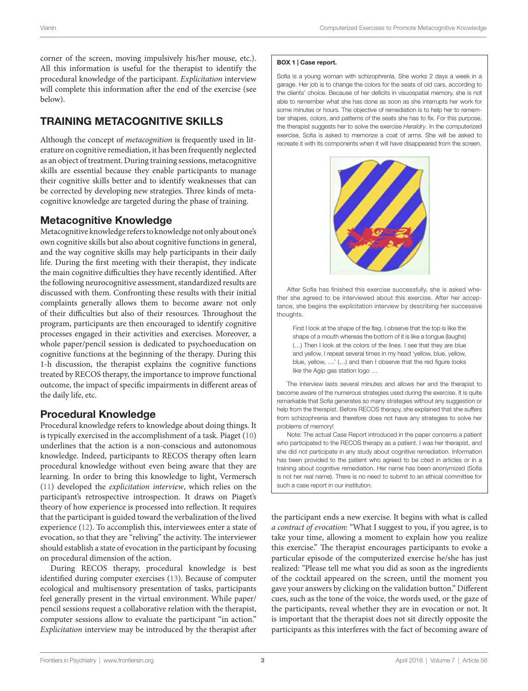corner of the screen, moving impulsively his/her mouse, etc.). All this information is useful for the therapist to identify the procedural knowledge of the participant. *Explicitation* interview will complete this information after the end of the exercise (see below).

# TRAINING METACOGNITIVE SKILLS

Although the concept of *metacognition* is frequently used in literature on cognitive remediation, it has been frequently neglected as an object of treatment. During training sessions, metacognitive skills are essential because they enable participants to manage their cognitive skills better and to identify weaknesses that can be corrected by developing new strategies. Three kinds of metacognitive knowledge are targeted during the phase of training.

### Metacognitive Knowledge

Metacognitive knowledge refers to knowledge not only about one's own cognitive skills but also about cognitive functions in general, and the way cognitive skills may help participants in their daily life. During the first meeting with their therapist, they indicate the main cognitive difficulties they have recently identified. After the following neurocognitive assessment, standardized results are discussed with them. Confronting these results with their initial complaints generally allows them to become aware not only of their difficulties but also of their resources. Throughout the program, participants are then encouraged to identify cognitive processes engaged in their activities and exercises. Moreover, a whole paper/pencil session is dedicated to psychoeducation on cognitive functions at the beginning of the therapy. During this 1-h discussion, the therapist explains the cognitive functions treated by RECOS therapy, the importance to improve functional outcome, the impact of specific impairments in different areas of the daily life, etc.

### Procedural Knowledge

Procedural knowledge refers to knowledge about doing things. It is typically exercised in the accomplishment of a task. Piaget ([10\)](#page-4-4) underlines that the action is a non-conscious and autonomous knowledge. Indeed, participants to RECOS therapy often learn procedural knowledge without even being aware that they are learning. In order to bring this knowledge to light, Vermersch ([11\)](#page-4-5) developed the *explicitation interview*, which relies on the participant's retrospective introspection. It draws on Piaget's theory of how experience is processed into reflection. It requires that the participant is guided toward the verbalization of the lived experience ([12](#page-4-6)). To accomplish this, interviewees enter a state of evocation, so that they are "reliving" the activity. The interviewer should establish a state of evocation in the participant by focusing on procedural dimension of the action.

During RECOS therapy, procedural knowledge is best identified during computer exercises ([13\)](#page-4-7). Because of computer ecological and multisensory presentation of tasks, participants feel generally present in the virtual environment. While paper/ pencil sessions request a collaborative relation with the therapist, computer sessions allow to evaluate the participant "in action." *Explicitation* interview may be introduced by the therapist after

#### <span id="page-2-0"></span>BOX 1 | Case report.

Sofia is a young woman with schizophrenia. She works 2 days a week in a garage. Her job is to change the colors for the seats of old cars, according to the clients' choice. Because of her deficits in visuospatial memory, she is not able to remember what she has done as soon as she interrupts her work for some minutes or hours. The objective of remediation is to help her to remember shapes, colors, and patterns of the seats she has to fix. For this purpose, the therapist suggests her to solve the exercise *Heraldry*. In the computerized exercise, Sofia is asked to memorize a coat of arms. She will be asked to recreate it with its components when it will have disappeared from the screen.



After Sofia has finished this exercise successfully, she is asked whether she agreed to be interviewed about this exercise. After her acceptance, she begins the explicitation interview by describing her successive thoughts.

First I look at the shape of the flag. I observe that the top is like the shape of a mouth whereas the bottom of it is like a tongue (laughs) (…) Then I look at the colors of the lines. I see that they are blue and yellow. I repeat several times in my head 'yellow, blue, yellow, blue, yellow, …' (…) and then I observe that the red figure looks like the Agip gas station logo …

The interview lasts several minutes and allows her and the therapist to become aware of the numerous strategies used during the exercise. It is quite remarkable that Sofia generates so many strategies without any suggestion or help from the therapist. Before RECOS therapy, she explained that she suffers from schizophrenia and therefore does not have any strategies to solve her problems of memory!

Note: The actual Case Report introduced in the paper concerns a patient who participated to the RECOS therapy as a patient. I was her therapist, and she did not participate in any study about cognitive remediation. Information has been provided to the patient who agreed to be cited in articles or in a training about cognitive remediation. Her name has been anonymized (Sofia is not her real name). There is no need to submit to an ethical committee for such a case report in our institution.

the participant ends a new exercise. It begins with what is called *a contract of evocation*: "What I suggest to you, if you agree, is to take your time, allowing a moment to explain how you realize this exercise." The therapist encourages participants to evoke a particular episode of the computerized exercise he/she has just realized: "Please tell me what you did as soon as the ingredients of the cocktail appeared on the screen, until the moment you gave your answers by clicking on the validation button." Different cues, such as the tone of the voice, the words used, or the gaze of the participants, reveal whether they are in evocation or not. It is important that the therapist does not sit directly opposite the participants as this interferes with the fact of becoming aware of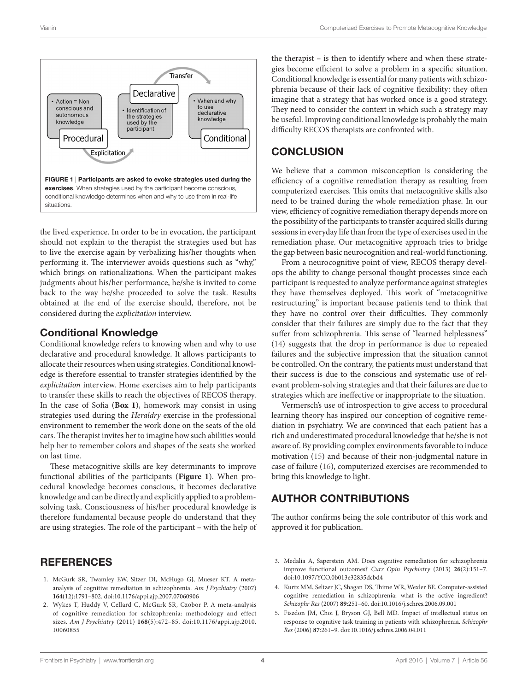

<span id="page-3-5"></span>the lived experience. In order to be in evocation, the participant should not explain to the therapist the strategies used but has to live the exercise again by verbalizing his/her thoughts when performing it. The interviewer avoids questions such as "why," which brings on rationalizations. When the participant makes judgments about his/her performance, he/she is invited to come back to the way he/she proceeded to solve the task. Results obtained at the end of the exercise should, therefore, not be considered during the *explicitation* interview.

### Conditional Knowledge

Conditional knowledge refers to knowing when and why to use declarative and procedural knowledge. It allows participants to allocate their resources when using strategies. Conditional knowledge is therefore essential to transfer strategies identified by the *explicitation* interview. Home exercises aim to help participants to transfer these skills to reach the objectives of RECOS therapy. In the case of Sofia (**[Box 1](#page-2-0)**), homework may consist in using strategies used during the *Heraldry* exercise in the professional environment to remember the work done on the seats of the old cars. The therapist invites her to imagine how such abilities would help her to remember colors and shapes of the seats she worked on last time.

These metacognitive skills are key determinants to improve functional abilities of the participants (**[Figure 1](#page-3-5)**). When procedural knowledge becomes conscious, it becomes declarative knowledge and can be directly and explicitly applied to a problemsolving task. Consciousness of his/her procedural knowledge is therefore fundamental because people do understand that they are using strategies. The role of the participant – with the help of

### **REFERENCES**

- <span id="page-3-0"></span>1. McGurk SR, Twamley EW, Sitzer DI, McHugo GJ, Mueser KT. A metaanalysis of cognitive remediation in schizophrenia. *Am J Psychiatry* (2007) **164**(12):1791–802. doi:[10.1176/appi.ajp.2007.07060906](http://dx.doi.org/10.1176/appi.ajp.2007.07060906)
- <span id="page-3-1"></span>2. Wykes T, Huddy V, Cellard C, McGurk SR, Czobor P. A meta-analysis of cognitive remediation for schizophrenia: methodology and effect sizes. *Am J Psychiatry* (2011) **168**(5):472–85. doi:[10.1176/appi.ajp.2010.](http://dx.doi.org/10.1176/appi.ajp.2010.10060855) [10060855](http://dx.doi.org/10.1176/appi.ajp.2010.10060855)

the therapist – is then to identify where and when these strategies become efficient to solve a problem in a specific situation. Conditional knowledge is essential for many patients with schizophrenia because of their lack of cognitive flexibility: they often imagine that a strategy that has worked once is a good strategy. They need to consider the context in which such a strategy may be useful. Improving conditional knowledge is probably the main difficulty RECOS therapists are confronted with.

### **CONCLUSION**

We believe that a common misconception is considering the efficiency of a cognitive remediation therapy as resulting from computerized exercises. This omits that metacognitive skills also need to be trained during the whole remediation phase. In our view, efficiency of cognitive remediation therapy depends more on the possibility of the participants to transfer acquired skills during sessions in everyday life than from the type of exercises used in the remediation phase. Our metacognitive approach tries to bridge the gap between basic neurocognition and real-world functioning.

From a neurocognitive point of view, RECOS therapy develops the ability to change personal thought processes since each participant is requested to analyze performance against strategies they have themselves deployed. This work of "metacognitive restructuring" is important because patients tend to think that they have no control over their difficulties. They commonly consider that their failures are simply due to the fact that they suffer from schizophrenia. This sense of "learned helplessness" [\(14\)](#page-4-8) suggests that the drop in performance is due to repeated failures and the subjective impression that the situation cannot be controlled. On the contrary, the patients must understand that their success is due to the conscious and systematic use of relevant problem-solving strategies and that their failures are due to strategies which are ineffective or inappropriate to the situation.

Vermersch's use of introspection to give access to procedural learning theory has inspired our conception of cognitive remediation in psychiatry. We are convinced that each patient has a rich and underestimated procedural knowledge that he/she is not aware of. By providing complex environments favorable to induce motivation [\(15](#page-4-9)) and because of their non-judgmental nature in case of failure ([16](#page-4-10)), computerized exercises are recommended to bring this knowledge to light.

### AUTHOR CONTRIBUTIONS

The author confirms being the sole contributor of this work and approved it for publication.

- <span id="page-3-2"></span>3. Medalia A, Saperstein AM. Does cognitive remediation for schizophrenia improve functional outcomes? *Curr Opin Psychiatry* (2013) **26**(2):151–7. doi:[10.1097/YCO.0b013e32835dcbd4](http://dx.doi.org/10.1097/YCO.0b013e32835dcbd4)
- <span id="page-3-3"></span>4. Kurtz MM, Seltzer JC, Shagan DS, Thime WR, Wexler BE. Computer-assisted cognitive remediation in schizophrenia: what is the active ingredient? *Schizophr Res* (2007) **89**:251–60. doi:[10.1016/j.schres.2006.09.001](http://dx.doi.org/10.1016/j.schres.2006.09.001)
- <span id="page-3-4"></span>5. Fiszdon JM, Choi J, Bryson GJ, Bell MD. Impact of intellectual status on response to cognitive task training in patients with schizophrenia. *Schizophr Res* (2006) **87**:261–9. doi[:10.1016/j.schres.2006.04.011](http://dx.doi.org/10.1016/j.schres.2006.04.011)